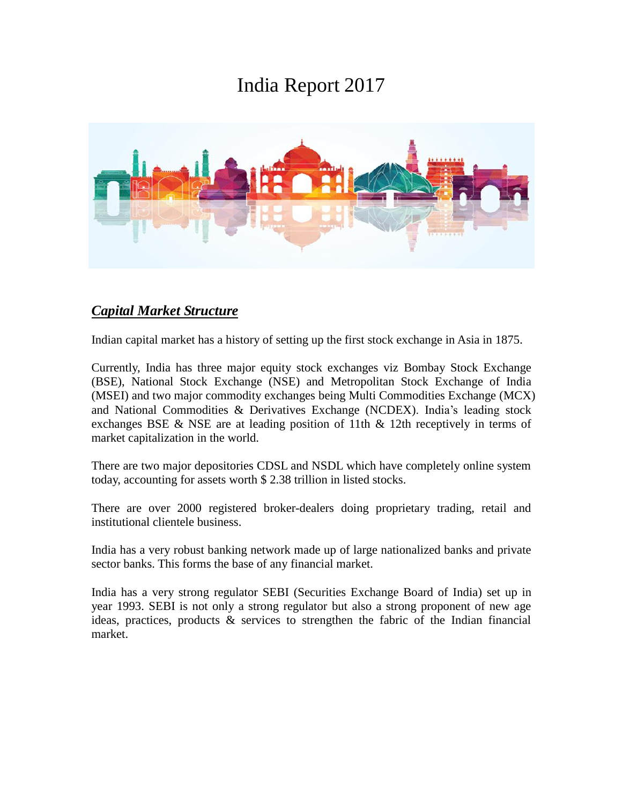# India Report 2017



#### *Capital Market Structure*

Indian capital market has a history of setting up the first stock exchange in Asia in 1875.

Currently, India has three major equity stock exchanges viz Bombay Stock Exchange (BSE), National Stock Exchange (NSE) and Metropolitan Stock Exchange of India (MSEI) and two major commodity exchanges being Multi Commodities Exchange (MCX) and National Commodities & Derivatives Exchange (NCDEX). India's leading stock exchanges BSE & NSE are at leading position of 11th & 12th receptively in terms of market capitalization in the world.

There are two major depositories CDSL and NSDL which have completely online system today, accounting for assets worth \$ 2.38 trillion in listed stocks.

There are over 2000 registered broker-dealers doing proprietary trading, retail and institutional clientele business.

India has a very robust banking network made up of large nationalized banks and private sector banks. This forms the base of any financial market.

India has a very strong regulator SEBI (Securities Exchange Board of India) set up in year 1993. SEBI is not only a strong regulator but also a strong proponent of new age ideas, practices, products & services to strengthen the fabric of the Indian financial market.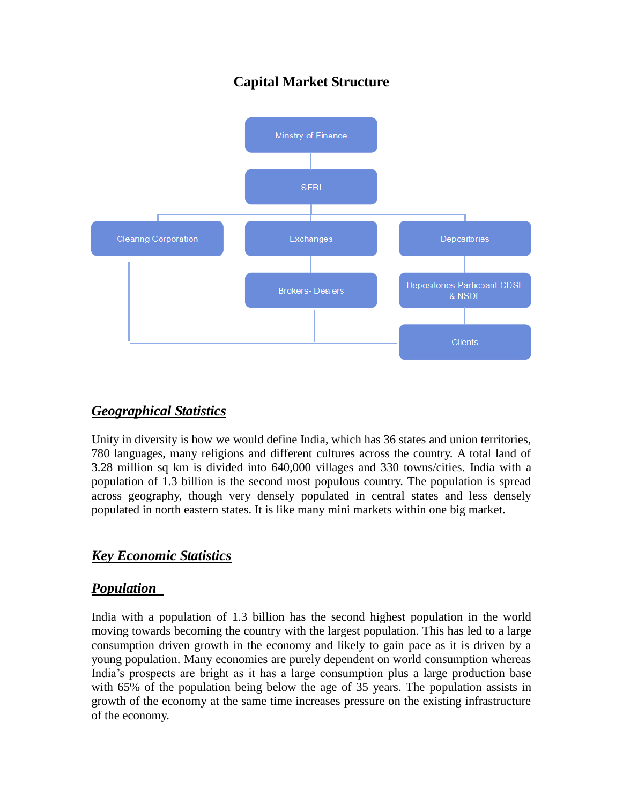## **Capital Market Structure**



### *Geographical Statistics*

Unity in diversity is how we would define India, which has 36 states and union territories, 780 languages, many religions and different cultures across the country. A total land of 3.28 million sq km is divided into 640,000 villages and 330 towns/cities. India with a population of 1.3 billion is the second most populous country. The population is spread across geography, though very densely populated in central states and less densely populated in north eastern states. It is like many mini markets within one big market.

### *Key Economic Statistics*

### *Population*

India with a population of 1.3 billion has the second highest population in the world moving towards becoming the country with the largest population. This has led to a large consumption driven growth in the economy and likely to gain pace as it is driven by a young population. Many economies are purely dependent on world consumption whereas India's prospects are bright as it has a large consumption plus a large production base with 65% of the population being below the age of 35 years. The population assists in growth of the economy at the same time increases pressure on the existing infrastructure of the economy.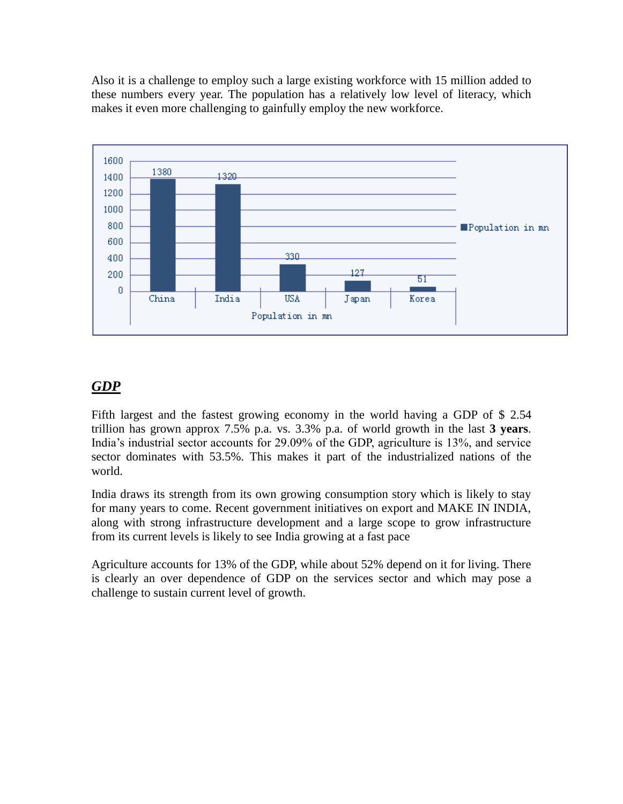Also it is a challenge to employ such a large existing workforce with 15 million added to these numbers every year. The population has a relatively low level of literacy, which makes it even more challenging to gainfully employ the new workforce.



#### *GDP*

Fifth largest and the fastest growing economy in the world having a GDP of \$ 2.54 trillion has grown approx 7.5% p.a. vs. 3.3% p.a. of world growth in the last **3 years**. India's industrial sector accounts for 29.09% of the GDP, agriculture is 13%, and service sector dominates with 53.5%. This makes it part of the industrialized nations of the world.

India draws its strength from its own growing consumption story which is likely to stay for many years to come. Recent government initiatives on export and MAKE IN INDIA, along with strong infrastructure development and a large scope to grow infrastructure from its current levels is likely to see India growing at a fast pace

Agriculture accounts for 13% of the GDP, while about 52% depend on it for living. There is clearly an over dependence of GDP on the services sector and which may pose a challenge to sustain current level of growth.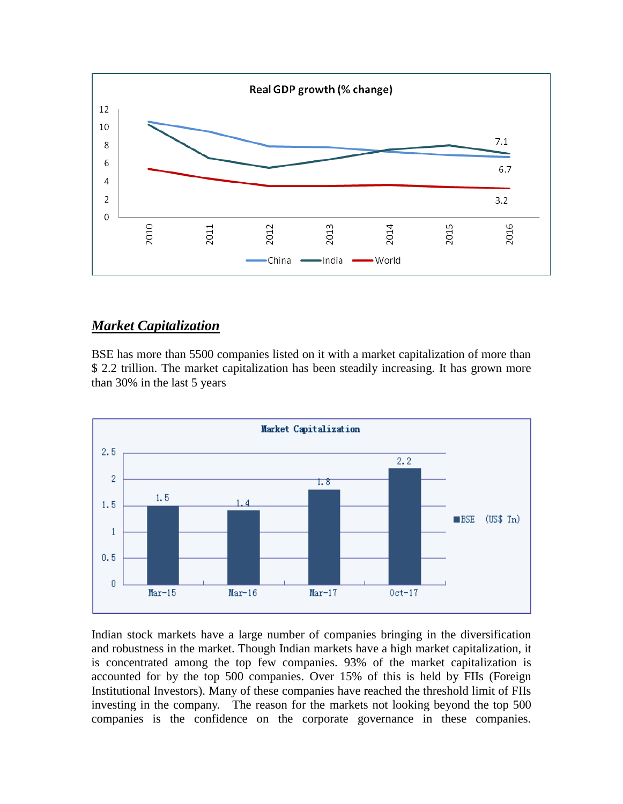

### *Market Capitalization*

BSE has more than 5500 companies listed on it with a market capitalization of more than \$ 2.2 trillion. The market capitalization has been steadily increasing. It has grown more than 30% in the last 5 years



Indian stock markets have a large number of companies bringing in the diversification and robustness in the market. Though Indian markets have a high market capitalization, it is concentrated among the top few companies. 93% of the market capitalization is accounted for by the top 500 companies. Over 15% of this is held by FIIs (Foreign Institutional Investors). Many of these companies have reached the threshold limit of FIIs investing in the company. The reason for the markets not looking beyond the top 500 companies is the confidence on the corporate governance in these companies.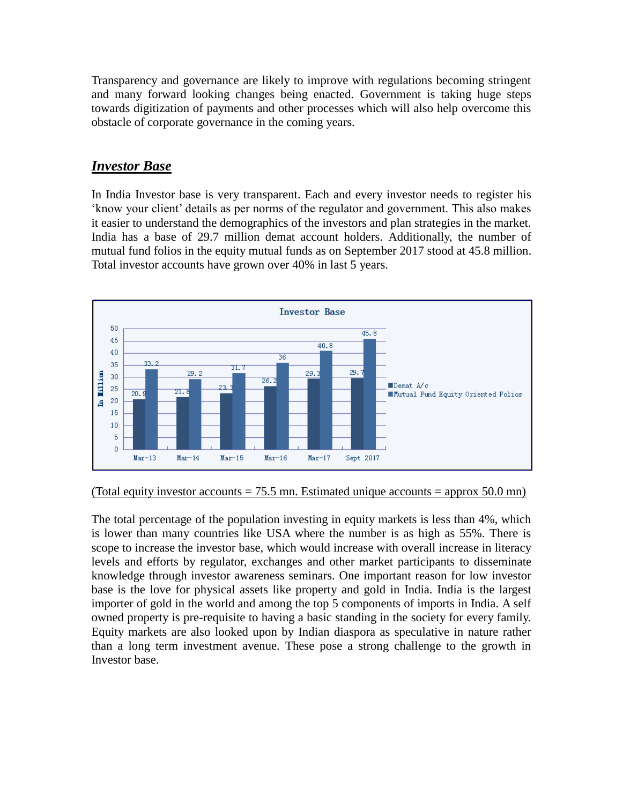Transparency and governance are likely to improve with regulations becoming stringent and many forward looking changes being enacted. Government is taking huge steps towards digitization of payments and other processes which will also help overcome this obstacle of corporate governance in the coming years.

### *Investor Base*

In India Investor base is very transparent. Each and every investor needs to register his 'know your client' details as per norms of the regulator and government. This also makes it easier to understand the demographics of the investors and plan strategies in the market. India has a base of 29.7 million demat account holders. Additionally, the number of mutual fund folios in the equity mutual funds as on September 2017 stood at 45.8 million. Total investor accounts have grown over 40% in last 5 years.



#### (Total equity investor accounts  $= 75.5$  mn. Estimated unique accounts  $=$  approx 50.0 mn)

The total percentage of the population investing in equity markets is less than 4%, which is lower than many countries like USA where the number is as high as 55%. There is scope to increase the investor base, which would increase with overall increase in literacy levels and efforts by regulator, exchanges and other market participants to disseminate knowledge through investor awareness seminars. One important reason for low investor base is the love for physical assets like property and gold in India. India is the largest importer of gold in the world and among the top 5 components of imports in India. A self owned property is pre-requisite to having a basic standing in the society for every family. Equity markets are also looked upon by Indian diaspora as speculative in nature rather than a long term investment avenue. These pose a strong challenge to the growth in Investor base.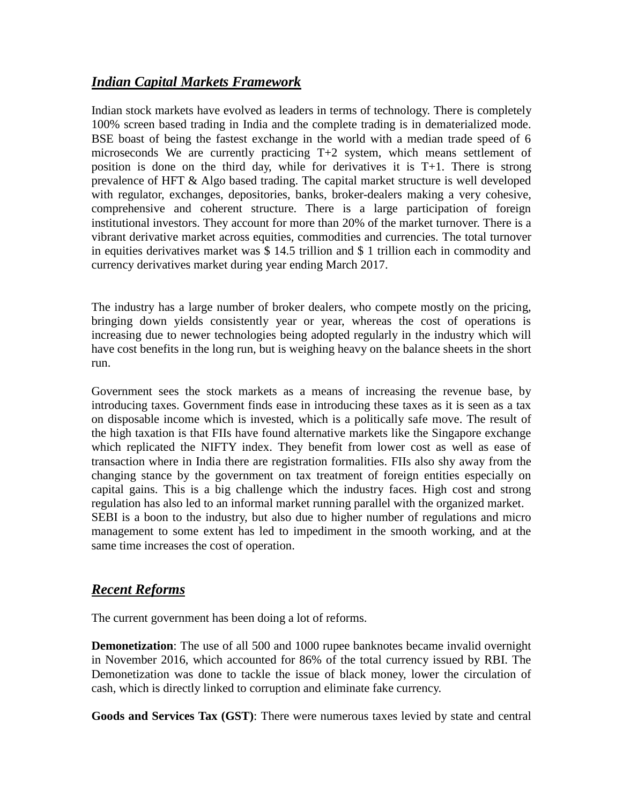### *Indian Capital Markets Framework*

Indian stock markets have evolved as leaders in terms of technology. There is completely 100% screen based trading in India and the complete trading is in dematerialized mode. BSE boast of being the fastest exchange in the world with a median trade speed of 6 microseconds We are currently practicing T+2 system, which means settlement of position is done on the third day, while for derivatives it is T+1. There is strong prevalence of HFT & Algo based trading. The capital market structure is well developed with regulator, exchanges, depositories, banks, broker-dealers making a very cohesive, comprehensive and coherent structure. There is a large participation of foreign institutional investors. They account for more than 20% of the market turnover. There is a vibrant derivative market across equities, commodities and currencies. The total turnover in equities derivatives market was \$ 14.5 trillion and \$ 1 trillion each in commodity and currency derivatives market during year ending March 2017.

The industry has a large number of broker dealers, who compete mostly on the pricing, bringing down yields consistently year or year, whereas the cost of operations is increasing due to newer technologies being adopted regularly in the industry which will have cost benefits in the long run, but is weighing heavy on the balance sheets in the short run.

Government sees the stock markets as a means of increasing the revenue base, by introducing taxes. Government finds ease in introducing these taxes as it is seen as a tax on disposable income which is invested, which is a politically safe move. The result of the high taxation is that FIIs have found alternative markets like the Singapore exchange which replicated the NIFTY index. They benefit from lower cost as well as ease of transaction where in India there are registration formalities. FIIs also shy away from the changing stance by the government on tax treatment of foreign entities especially on capital gains. This is a big challenge which the industry faces. High cost and strong regulation has also led to an informal market running parallel with the organized market. SEBI is a boon to the industry, but also due to higher number of regulations and micro management to some extent has led to impediment in the smooth working, and at the same time increases the cost of operation.

### *Recent Reforms*

The current government has been doing a lot of reforms.

**Demonetization**: The use of all 500 and 1000 rupee banknotes became invalid overnight in November 2016, which accounted for 86% of the total currency issued by RBI. The Demonetization was done to tackle the issue of black money, lower the circulation of cash, which is directly linked to corruption and eliminate fake currency.

**Goods and Services Tax (GST)**: There were numerous taxes levied by state and central